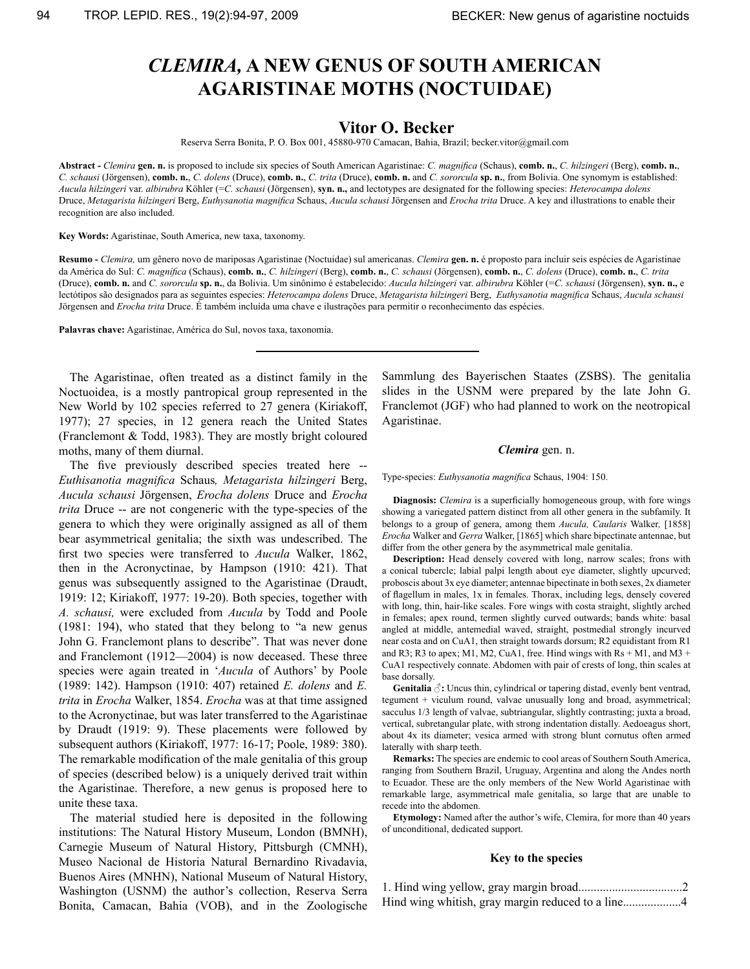# *Clemira,* **a new genus of South American Agaristinae moths (Noctuidae)**

# **Vitor O. Becker**

Reserva Serra Bonita, P. O. Box 001, 45880-970 Camacan, Bahia, Brazil; becker.vitor@gmail.com

**Abstract -** *Clemira* **gen. n.** is proposed to include six species of South American Agaristinae: *C. magnifica* (Schaus), **comb. n.**, *C. hilzingeri* (Berg), **comb. n.**, *C. schausi* (Jörgensen), **comb. n.**, *C. dolens* (Druce), **comb. n.**, *C. trita* (Druce), **comb. n.** and *C. sororcula* **sp. n.**, from Bolivia. One synomym is established: *Aucula hilzingeri* var. *albirubra* Köhler (=*C. schausi* (Jörgensen), **syn. n.,** and lectotypes are designated for the following species: *Heterocampa dolens*  Druce, *Metagarista hilzingeri* Berg, *Euthysanotia magnifica* Schaus, *Aucula schausi* Jörgensen and *Erocha trita* Druce. A key and illustrations to enable their recognition are also included.

**Key Words:** Agaristinae, South America, new taxa, taxonomy.

**Resumo -** *Clemira,* um gênero novo de mariposas Agaristinae (Noctuidae) sul americanas. *Clemira* **gen. n.** é proposto para incluir seis espécies de Agaristinae da América do Sul: *C. magnífica* (Schaus), **comb. n.**, *C. hilzingeri* (Berg), **comb. n.**, *C. schausi* (Jörgensen), **comb. n.**, *C. dolens* (Druce), **comb. n.**, *C. trita*  (Druce), **comb. n.** and *C. sororcula* **sp. n.**, da Bolivia. Um sinônimo é estabelecido: *Aucula hilzingeri* var. *albirubra* Köhler (=*C. schausi* (Jörgensen), **syn. n.,** e lectótipos são designados para as seguintes especies: *Heterocampa dolens* Druce, *Metagarista hilzingeri* Berg, *Euthysanotia magnifica* Schaus, *Aucula schausi*  Jörgensen and *Erocha trita* Druce. É também incluída uma chave e ilustrações para permitir o reconhecimento das espécies.

**Palavras chave:** Agaristinae, América do Sul, novos taxa, taxonomia.

The Agaristinae, often treated as a distinct family in the Noctuoidea, is a mostly pantropical group represented in the New World by 102 species referred to 27 genera (Kiriakoff, 1977); 27 species, in 12 genera reach the United States (Franclemont & Todd, 1983). They are mostly bright coloured moths, many of them diurnal.

 The five previously described species treated here -- *Euthisanotia magnifica* Schaus*, Metagarista hilzingeri* Berg, *Aucula schausi* Jörgensen, *Erocha dolens* Druce and *Erocha trita* Druce -- are not congeneric with the type-species of the genera to which they were originally assigned as all of them bear asymmetrical genitalia; the sixth was undescribed. The first two species were transferred to *Aucula* Walker, 1862, then in the Acronyctinae, by Hampson (1910: 421). That genus was subsequently assigned to the Agaristinae (Draudt, 1919: 12; Kiriakoff, 1977: 19-20). Both species, together with *A. schausi,* were excluded from *Aucula* by Todd and Poole (1981: 194), who stated that they belong to "a new genus John G. Franclemont plans to describe". That was never done and Franclemont (1912—2004) is now deceased. These three species were again treated in '*Aucula* of Authors' by Poole (1989: 142). Hampson (1910: 407) retained *E. dolens* and *E. trita* in *Erocha* Walker, 1854. *Erocha* was at that time assigned to the Acronyctinae, but was later transferred to the Agaristinae by Draudt (1919: 9). These placements were followed by subsequent authors (Kiriakoff, 1977: 16-17; Poole, 1989: 380). The remarkable modification of the male genitalia of this group of species (described below) is a uniquely derived trait within the Agaristinae. Therefore, a new genus is proposed here to unite these taxa.

The material studied here is deposited in the following institutions: The Natural History Museum, London (BMNH), Carnegie Museum of Natural History, Pittsburgh (CMNH), Museo Nacional de Historia Natural Bernardino Rivadavia, Buenos Aires (MNHN), National Museum of Natural History, Washington (USNM) the author's collection, Reserva Serra Bonita, Camacan, Bahia (VOB), and in the Zoologische Sammlung des Bayerischen Staates (ZSBS). The genitalia slides in the USNM were prepared by the late John G. Franclemot (JGF) who had planned to work on the neotropical Agaristinae.

#### *Clemira* gen. n.

Type-species: *Euthysanotia magnifica* Schaus, 1904: 150.

**Diagnosis:** *Clemira* is a superficially homogeneous group, with fore wings showing a variegated pattern distinct from all other genera in the subfamily. It belongs to a group of genera, among them *Aucula, Caularis* Walker*,* [1858] *Erocha* Walker and *Gerra* Walker, [1865] which share bipectinate antennae, but differ from the other genera by the asymmetrical male genitalia.

**Description:** Head densely covered with long, narrow scales; frons with a conical tubercle; labial palpi length about eye diameter, slightly upcurved; proboscis about 3x eye diameter; antennae bipectinate in both sexes, 2x diameter of flagellum in males, 1x in females. Thorax, including legs, densely covered with long, thin, hair-like scales. Fore wings with costa straight, slightly arched in females; apex round, termen slightly curved outwards; bands white: basal angled at middle, antemedial waved, straight, postmedial strongly incurved near costa and on CuA1, then straight towards dorsum; R2 equidistant from R1 and R3; R3 to apex; M1, M2, CuA1, free. Hind wings with  $Rs + M1$ , and M3 + CuA1 respectively connate. Abdomen with pair of crests of long, thin scales at base dorsally.

**Genitalia**  $\hat{\beta}$ : Uncus thin, cylindrical or tapering distad, evenly bent ventrad, tegument + viculum round, valvae unusually long and broad, asymmetrical; sacculus 1/3 length of valvae, subtriangular, slightly contrasting; juxta a broad, vertical, subretangular plate, with strong indentation distally. Aedoeagus short, about 4x its diameter; vesica armed with strong blunt cornutus often armed laterally with sharp teeth.

**Remarks:** The species are endemic to cool areas of Southern South America, ranging from Southern Brazil, Uruguay, Argentina and along the Andes north to Ecuador. These are the only members of the New World Agaristinae with remarkable large, asymmetrical male genitalia, so large that are unable to recede into the abdomen.

**Etymology:** Named after the author's wife, Clemira, for more than 40 years of unconditional, dedicated support.

#### **Key to the species**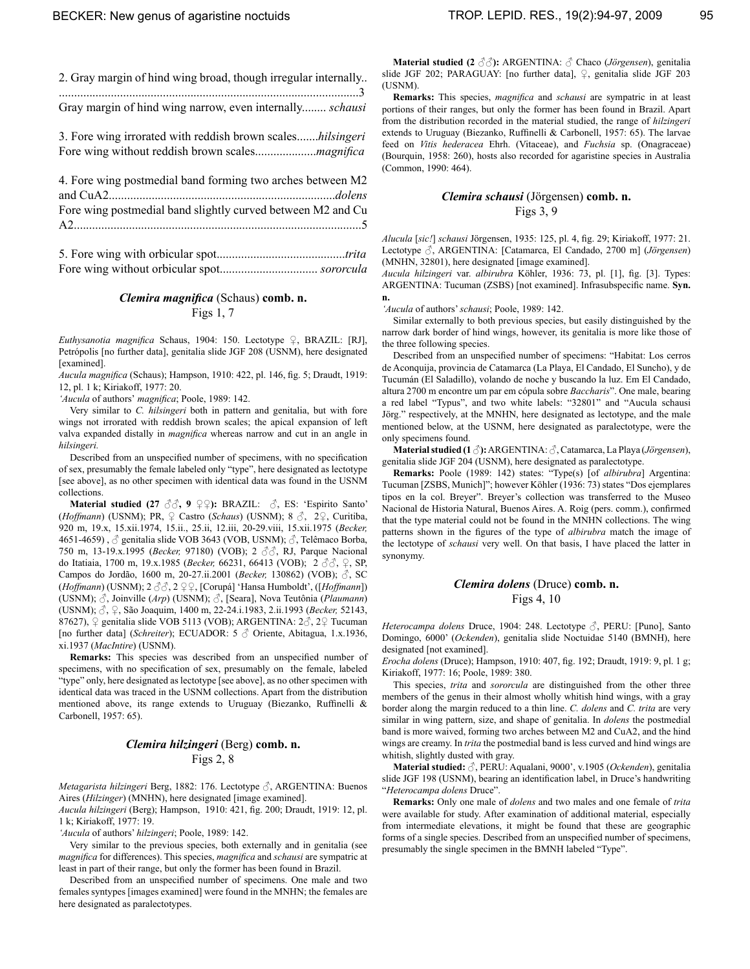| 2. Gray margin of hind wing broad, though irregular internally |
|----------------------------------------------------------------|
|                                                                |
| Gray margin of hind wing narrow, even internally schausi       |

3. Fore wing irrorated with reddish brown scales.......*hilsingeri* Fore wing without reddish brown scales....................*magnifica*

| 4. Fore wing postmedial band forming two arches between M2  |
|-------------------------------------------------------------|
|                                                             |
| Fore wing postmedial band slightly curved between M2 and Cu |
|                                                             |
|                                                             |

5. Fore wing with orbicular spot..........................................*trita* Fore wing without orbicular spot................................ *sororcula*

# *Clemira magnifica* (Schaus) **comb. n.** Figs 1, 7

*Euthysanotia magnifica* Schaus, 1904: 150. Lectotype ♀, BRAZIL: [RJ], Petrópolis [no further data], genitalia slide JGF 208 (USNM), here designated [examined].

*Aucula magnifica* (Schaus); Hampson, 1910: 422, pl. 146, fig. 5; Draudt, 1919: 12, pl. 1 k; Kiriakoff, 1977: 20.

*'Aucula* of authors' *magnifica*; Poole, 1989: 142.

Very similar to *C. hilsingeri* both in pattern and genitalia, but with fore wings not irrorated with reddish brown scales; the apical expansion of left valva expanded distally in *magnifica* whereas narrow and cut in an angle in *hilsingeri.*

 Described from an unspecified number of specimens, with no specification of sex, presumably the female labeled only "type", here designated as lectotype [see above], as no other specimen with identical data was found in the USNM collections.

**Material studied (27 ♂, 9 ♀♀):** BRAZIL: ♂, ES: 'Espirito Santo' (*Hoffmann*) (USNM); PR, ♀ Castro (*Schaus*) (USNM); 8 ♂, 2♀, Curitiba, 920 m, 19.x, 15.xii.1974, 15.ii., 25.ii, 12.iii, 20-29.viii, 15.xii.1975 (*Becker,* 4651-4659),  $\Im$  genitalia slide VOB 3643 (VOB, USNM);  $\Im$ , Telêmaco Borba, 750 m, 13-19.x.1995 (*Becker,* 97180) (VOB); 2 ♂♂, RJ, Parque Nacional do Itatiaia, 1700 m, 19.x.1985 (*Becker,* 66231, 66413 (VOB); 2 ♂♂, ♀, SP, Campos do Jordão, 1600 m, 20-27.ii.2001 (*Becker,* 130862) (VOB); ♂, SC (*Hoffmann*) (USNM); 2 ♂♂, 2 ♀♀, [Corupá] 'Hansa Humboldt', ([*Hoffmann*]) (USNM); ♂, Joinville (*Arp*) (USNM); ♂, [Seara], Nova Teutônia (*Plaumann*) (USNM); ♂, ♀, São Joaquim, 1400 m, 22-24.i.1983, 2.ii.1993 (*Becker,* 52143, 87627),  $\varphi$  genitalia slide VOB 5113 (VOB); ARGENTINA:  $2\Im$ ,  $2\varphi$  Tucuman [no further data] (*Schreiter*); ECUADOR: 5 ♂ Oriente, Abitagua, 1.x.1936, xi.1937 (*MacIntire*) (USNM).

**Remarks:** This species was described from an unspecified number of specimens, with no specification of sex, presumably on the female, labeled "type" only, here designated as lectotype [see above], as no other specimen with identical data was traced in the USNM collections. Apart from the distribution mentioned above, its range extends to Uruguay (Biezanko, Ruffinelli & Carbonell, 1957: 65).

# *Clemira hilzingeri* (Berg) **comb. n.** Figs 2, 8

*Metagarista hilzingeri* Berg, 1882: 176. Lectotype ♂, ARGENTINA: Buenos Aires (*Hilzinger*) (MNHN), here designated [image examined].

*Aucula hilzingeri* (Berg); Hampson, 1910: 421, fig. 200; Draudt, 1919: 12, pl. 1 k; Kiriakoff, 1977: 19.

*'Aucula* of authors' *hilzingeri*; Poole, 1989: 142.

Very similar to the previous species, both externally and in genitalia (see *magnifica* for differences). This species, *magnifica* and *schausi* are sympatric at least in part of their range, but only the former has been found in Brazil.

 Described from an unspecified number of specimens. One male and two females syntypes [images examined] were found in the MNHN; the females are here designated as paralectotypes.

**Material studied (2 ♂♂):** ARGENTINA: ♂ Chaco (*Jörgensen*), genitalia slide JGF 202; PARAGUAY: [no further data], ♀, genitalia slide JGF 203 (USNM).

**Remarks:** This species, *magnifica* and *schausi* are sympatric in at least portions of their ranges, but only the former has been found in Brazil. Apart from the distribution recorded in the material studied, the range of *hilzingeri* extends to Uruguay (Biezanko, Ruffinelli & Carbonell, 1957: 65). The larvae feed on *Vitis hederacea* Ehrh. (Vitaceae), and *Fuchsia* sp. (Onagraceae) (Bourquin, 1958: 260), hosts also recorded for agaristine species in Australia (Common, 1990: 464).

# *Clemira schausi* (Jörgensen) **comb. n.** Figs 3, 9

*Alucula* [*sic!*] *schausi* Jörgensen, 1935: 125, pl. 4, fig. 29; Kiriakoff, 1977: 21. Lectotype ♂, ARGENTINA: [Catamarca, El Candado, 2700 m] (*Jörgensen*) (MNHN, 32801), here designated [image examined].

*Aucula hilzingeri* var. *albirubra* Köhler, 1936: 73, pl. [1], fig. [3]. Types: ARGENTINA: Tucuman (ZSBS) [not examined]. Infrasubspecific name. **Syn. n.**

*'Aucula* of authors' *schausi*; Poole, 1989: 142.

Similar externally to both previous species, but easily distinguished by the narrow dark border of hind wings, however, its genitalia is more like those of the three following species.

 Described from an unspecified number of specimens: "Habitat: Los cerros de Aconquija, provincia de Catamarca (La Playa, El Candado, El Suncho), y de Tucumán (El Saladillo), volando de noche y buscando la luz. Em El Candado, altura 2700 m encontre um par em cópula sobre *Baccharis*". One male, bearing a red label "Typus", and two white labels: "32801" and "Aucula schausi Jörg." respectively, at the MNHN, here designated as lectotype, and the male mentioned below, at the USNM, here designated as paralectotype, were the only specimens found.

**Material studied (1 ♂):**ARGENTINA: ♂,Catamarca, La Playa (*Jörgensen*), genitalia slide JGF 204 (USNM), here designated as paralectotype.

**Remarks:** Poole (1989: 142) states: "Type(s) [of *albirubra*] Argentina: Tucuman [ZSBS, Munich]"; however Köhler (1936: 73) states "Dos ejemplares tipos en la col. Breyer". Breyer's collection was transferred to the Museo Nacional de Historia Natural, Buenos Aires. A. Roig (pers. comm.), confirmed that the type material could not be found in the MNHN collections. The wing patterns shown in the figures of the type of *albirubra* match the image of the lectotype of *schausi* very well. On that basis, I have placed the latter in synonymy.

## *Clemira dolens* (Druce) **comb. n.** Figs 4, 10

*Heterocampa dolens* Druce, 1904: 248. Lectotype ♂, PERU: [Puno], Santo Domingo, 6000' (*Ockenden*), genitalia slide Noctuidae 5140 (BMNH), here designated [not examined].

*Erocha dolens* (Druce); Hampson, 1910: 407, fig. 192; Draudt, 1919: 9, pl. 1 g; Kiriakoff, 1977: 16; Poole, 1989: 380.

This species, *trita* and *sororcula* are distinguished from the other three members of the genus in their almost wholly whitish hind wings, with a gray border along the margin reduced to a thin line. *C. dolens* and *C. trita* are very similar in wing pattern, size, and shape of genitalia. In *dolens* the postmedial band is more waived, forming two arches between M2 and CuA2, and the hind wings are creamy. In *trita* the postmedial band is less curved and hind wings are whitish, slightly dusted with gray.

**Material studied:** ♂, PERU: Aqualani, 9000', v.1905 (*Ockenden*), genitalia slide JGF 198 (USNM), bearing an identification label, in Druce's handwriting "*Heterocampa dolens* Druce".

**Remarks:** Only one male of *dolens* and two males and one female of *trita*  were available for study. After examination of additional material, especially from intermediate elevations, it might be found that these are geographic forms of a single species. Described from an unspecified number of specimens, presumably the single specimen in the BMNH labeled "Type".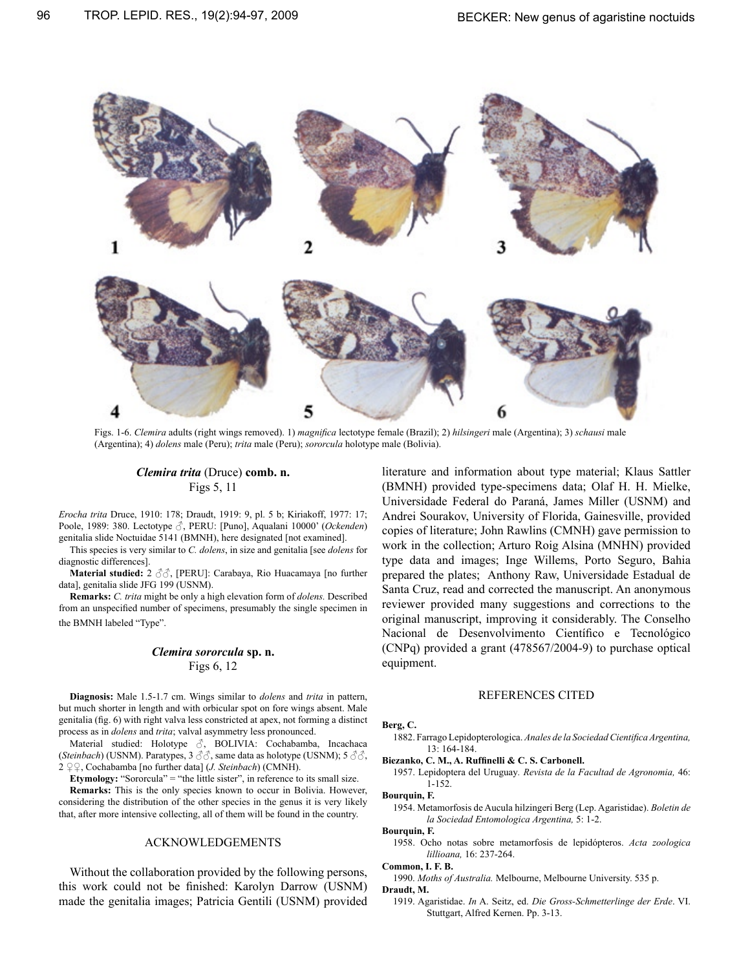

Figs. 1-6. *Clemira* adults (right wings removed). 1) *magnifica* lectotype female (Brazil); 2) *hilsingeri* male (Argentina); 3) *schausi* male (Argentina); 4) *dolens* male (Peru); *trita* male (Peru); *sororcula* holotype male (Bolivia).

# *Clemira trita* (Druce) **comb. n.** Figs 5, 11

*Erocha trita* Druce, 1910: 178; Draudt, 1919: 9, pl. 5 b; Kiriakoff, 1977: 17; Poole, 1989: 380. Lectotype ♂, PERU: [Puno], Aqualani 10000' (*Ockenden*) genitalia slide Noctuidae 5141 (BMNH), here designated [not examined].

This species is very similar to *C. dolens*, in size and genitalia [see *dolens* for diagnostic differences].

**Material studied:** 2 ♂♂, [PERU]: Carabaya, Rio Huacamaya [no further data], genitalia slide JFG 199 (USNM).

**Remarks:** *C. trita* might be only a high elevation form of *dolens.* Described from an unspecified number of specimens, presumably the single specimen in the BMNH labeled "Type".

## *Clemira sororcula* **sp. n.** Figs 6, 12

**Diagnosis:** Male 1.5-1.7 cm. Wings similar to *dolens* and *trita* in pattern, but much shorter in length and with orbicular spot on fore wings absent. Male genitalia (fig. 6) with right valva less constricted at apex, not forming a distinct process as in *dolens* and *trita*; valval asymmetry less pronounced.

 Material studied: Holotype ♂, BOLIVIA: Cochabamba, Incachaca (*Steinbach*) (USNM). Paratypes, 3 ♂♂, same data as holotype (USNM); 5 ♂♂, 2 ♀♀, Cochabamba [no further data] (*J. Steinbach*) (CMNH).

**Etymology:** "Sororcula" = "the little sister", in reference to its small size.

**Remarks:** This is the only species known to occur in Bolivia. However, considering the distribution of the other species in the genus it is very likely that, after more intensive collecting, all of them will be found in the country.

#### Acknowledgements

Without the collaboration provided by the following persons, this work could not be finished: Karolyn Darrow (USNM) made the genitalia images; Patricia Gentili (USNM) provided literature and information about type material; Klaus Sattler (BMNH) provided type-specimens data; Olaf H. H. Mielke, Universidade Federal do Paraná, James Miller (USNM) and Andrei Sourakov, University of Florida, Gainesville, provided copies of literature; John Rawlins (CMNH) gave permission to work in the collection; Arturo Roig Alsina (MNHN) provided type data and images; Inge Willems, Porto Seguro, Bahia prepared the plates; Anthony Raw, Universidade Estadual de Santa Cruz, read and corrected the manuscript. An anonymous reviewer provided many suggestions and corrections to the original manuscript, improving it considerably. The Conselho Nacional de Desenvolvimento Científico e Tecnológico (CNPq) provided a grant (478567/2004-9) to purchase optical equipment.

#### REFERENCES CITED

#### **Berg, C.**

1882. Farrago Lepidopterologica. *Anales de la Sociedad Cientifica Argentina,* 13: 164-184.

**Biezanko, C. M., A. Ruffinelli & C. S. Carbonell.** 

1957. Lepidoptera del Uruguay*. Revista de la Facultad de Agronomia,* 46: 1-152.

#### **Bourquin, F.**

1954. Metamorfosis de Aucula hilzingeri Berg (Lep. Agaristidae). *Boletin de la Sociedad Entomologica Argentina,* 5: 1-2.

**Bourquin, F.** 

1958. Ocho notas sobre metamorfosis de lepidópteros. *Acta zoologica lillioana,* 16: 237-264.

**Common, I. F. B.** 

1990. *Moths of Australia.* Melbourne, Melbourne University. 535 p. **Draudt, M.** 

1919. Agaristidae. *In* A. Seitz, ed. *Die Gross-Schmetterlinge der Erde*. VI. Stuttgart, Alfred Kernen. Pp. 3-13.